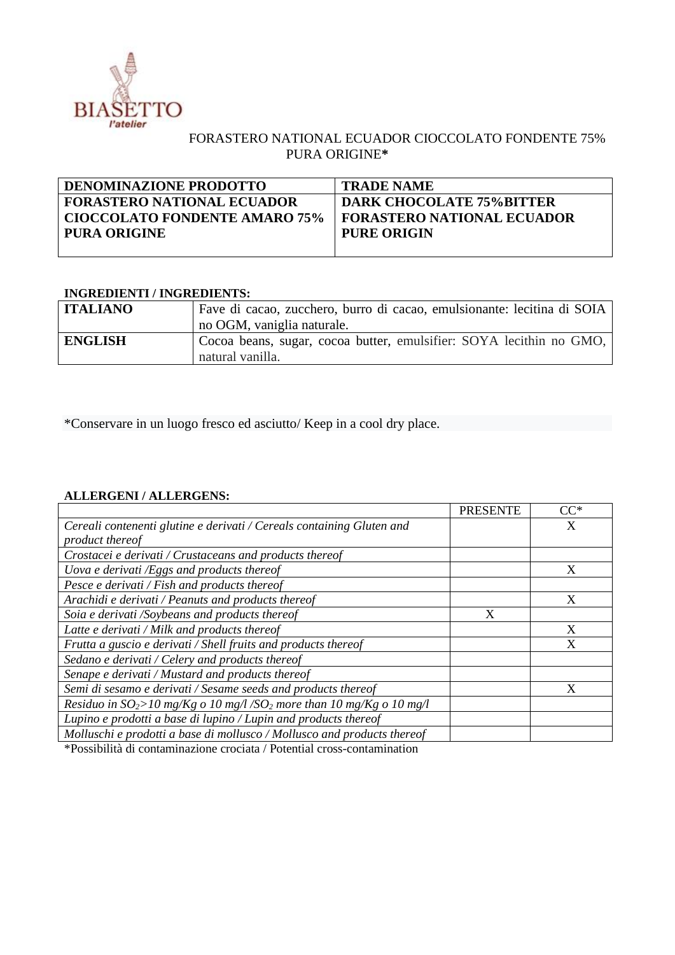

## FORASTERO NATIONAL ECUADOR CIOCCOLATO FONDENTE 75% PURA ORIGINE**\***

<u> 1980 - Johann Barn, mars ar breithinn ar chuid ann an t-Alban ann an t-Alban ann an t-Alban ann an t-Alban a</u>

| <b>DENOMINAZIONE PRODOTTO</b>        | <b>TRADE NAME</b>                 |
|--------------------------------------|-----------------------------------|
| <b>FORASTERO NATIONAL ECUADOR</b>    | <b>DARK CHOCOLATE 75%BITTER</b>   |
| <b>CIOCCOLATO FONDENTE AMARO 75%</b> | <b>FORASTERO NATIONAL ECUADOR</b> |
| PURA ORIGINE                         | <b>PURE ORIGIN</b>                |
|                                      |                                   |

## **INGREDIENTI / INGREDIENTS:**

| <b>ITALIANO</b> | Fave di cacao, zucchero, burro di cacao, emulsionante: lecitina di SOIA<br>no OGM, vaniglia naturale. |
|-----------------|-------------------------------------------------------------------------------------------------------|
| <b>ENGLISH</b>  | Cocoa beans, sugar, cocoa butter, emulsifier: SOYA lecithin no GMO,<br>natural vanilla.               |

\*Conservare in un luogo fresco ed asciutto/ Keep in a cool dry place.

## **ALLERGENI / ALLERGENS:**

|                                                                                     | <b>PRESENTE</b> | $CC^*$ |
|-------------------------------------------------------------------------------------|-----------------|--------|
| Cereali contenenti glutine e derivati / Cereals containing Gluten and               |                 | X      |
| product thereof                                                                     |                 |        |
| Crostacei e derivati / Crustaceans and products thereof                             |                 |        |
| Uova e derivati /Eggs and products thereof                                          |                 | X      |
| Pesce e derivati / Fish and products thereof                                        |                 |        |
| Arachidi e derivati / Peanuts and products thereof                                  |                 | X      |
| Soia e derivati /Soybeans and products thereof                                      | X               |        |
| Latte e derivati / Milk and products thereof                                        |                 | X      |
| Frutta a guscio e derivati / Shell fruits and products thereof                      |                 | X      |
| Sedano e derivati / Celery and products thereof                                     |                 |        |
| Senape e derivati / Mustard and products thereof                                    |                 |        |
| Semi di sesamo e derivati / Sesame seeds and products thereof                       |                 | X      |
| Residuo in $SO_2$ >10 mg/Kg o 10 mg/l /SO <sub>2</sub> more than 10 mg/Kg o 10 mg/l |                 |        |
| Lupino e prodotti a base di lupino / Lupin and products thereof                     |                 |        |
| Molluschi e prodotti a base di mollusco / Mollusco and products thereof             |                 |        |

\*Possibilità di contaminazione crociata / Potential cross-contamination